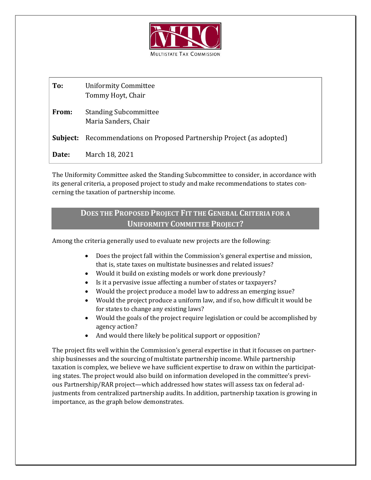

| To:      | <b>Uniformity Committee</b><br>Tommy Hoyt, Chair             |
|----------|--------------------------------------------------------------|
| From:    | <b>Standing Subcommittee</b><br>Maria Sanders, Chair         |
| Subject: | Recommendations on Proposed Partnership Project (as adopted) |
| Date:    | March 18, 2021                                               |

The Uniformity Committee asked the Standing Subcommittee to consider, in accordance with its general criteria, a proposed project to study and make recommendations to states concerning the taxation of partnership income.

# **DOES THE PROPOSED PROJECT FIT THE GENERAL CRITERIA FOR A UNIFORMITY COMMITTEE PROJECT?**

Among the criteria generally used to evaluate new projects are the following:

- Does the project fall within the Commission's general expertise and mission, that is, state taxes on multistate businesses and related issues?
- Would it build on existing models or work done previously?
- Is it a pervasive issue affecting a number of states or taxpayers?
- Would the project produce a model law to address an emerging issue?
- Would the project produce a uniform law, and if so, how difficult it would be for states to change any existing laws?
- Would the goals of the project require legislation or could be accomplished by agency action?
- And would there likely be political support or opposition?

The project fits well within the Commission's general expertise in that it focusses on partnership businesses and the sourcing of multistate partnership income. While partnership taxation is complex, we believe we have sufficient expertise to draw on within the participating states. The project would also build on information developed in the committee's previous Partnership/RAR project—which addressed how states will assess tax on federal adjustments from centralized partnership audits. In addition, partnership taxation is growing in importance, as the graph below demonstrates.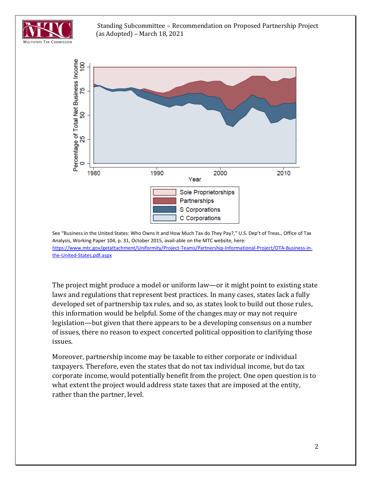

#### Standing Subcommittee – Recommendation on Proposed Partnership Project (as Adopted) – March 18, 2021



See "Business in the United States: Who Owns It and How Much Tax do They Pay?," U.S. Dep't of Treas., Office of Tax Analysis, Working Paper 104, p. 31, October 2015, avail-able on the MTC website, here: [https://www.mtc.gov/getattachment/Uniformity/Project-Teams/Partnership-Informational-Project/OTA-Business-in](https://www.mtc.gov/getattachment/Uniformity/Project-Teams/Partnership-Informational-Project/OTA-Business-in-the-United-States.pdf.aspx)[the-United-States.pdf.aspx](https://www.mtc.gov/getattachment/Uniformity/Project-Teams/Partnership-Informational-Project/OTA-Business-in-the-United-States.pdf.aspx)

The project might produce a model or uniform law—or it might point to existing state laws and regulations that represent best practices. In many cases, states lack a fully developed set of partnership tax rules, and so, as states look to build out those rules, this information would be helpful. Some of the changes may or may not require legislation—but given that there appears to be a developing consensus on a number of issues, there no reason to expect concerted political opposition to clarifying those issues.

Moreover, partnership income may be taxable to either corporate or individual taxpayers. Therefore, even the states that do not tax individual income, but do tax corporate income, would potentially benefit from the project. One open question is to what extent the project would address state taxes that are imposed at the entity, rather than the partner, level.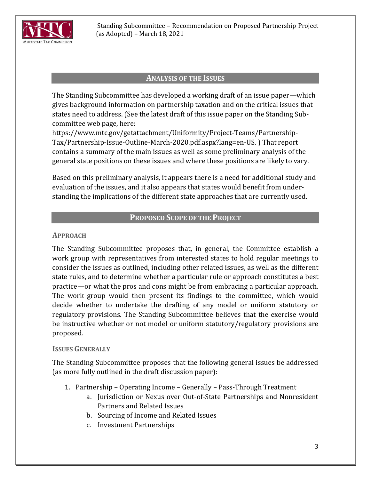

### **ANALYSIS OF THE ISSUES**

The Standing Subcommittee has developed a working draft of an issue paper—which gives background information on partnership taxation and on the critical issues that states need to address. (See the latest draft of this issue paper on the Standing Subcommittee web page, here:

https://www.mtc.gov/getattachment/Uniformity/Project-Teams/Partnership-Tax/Partnership-Issue-Outline-March-2020.pdf.aspx?lang=en-US. ) That report contains a summary of the main issues as well as some preliminary analysis of the general state positions on these issues and where these positions are likely to vary.

Based on this preliminary analysis, it appears there is a need for additional study and evaluation of the issues, and it also appears that states would benefit from understanding the implications of the different state approaches that are currently used.

## **PROPOSED SCOPE OF THE PROJECT**

### **APPROACH**

The Standing Subcommittee proposes that, in general, the Committee establish a work group with representatives from interested states to hold regular meetings to consider the issues as outlined, including other related issues, as well as the different state rules, and to determine whether a particular rule or approach constitutes a best practice—or what the pros and cons might be from embracing a particular approach. The work group would then present its findings to the committee, which would decide whether to undertake the drafting of any model or uniform statutory or regulatory provisions. The Standing Subcommittee believes that the exercise would be instructive whether or not model or uniform statutory/regulatory provisions are proposed.

### **ISSUES GENERALLY**

The Standing Subcommittee proposes that the following general issues be addressed (as more fully outlined in the draft discussion paper):

- 1. Partnership Operating Income Generally Pass-Through Treatment
	- a. Jurisdiction or Nexus over Out-of-State Partnerships and Nonresident Partners and Related Issues
	- b. Sourcing of Income and Related Issues
	- c. Investment Partnerships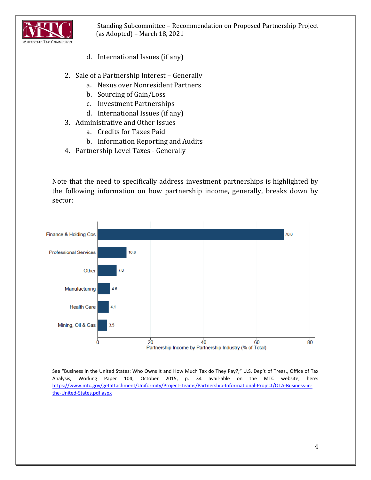

Standing Subcommittee – Recommendation on Proposed Partnership Project (as Adopted) – March 18, 2021

- d. International Issues (if any)
- 2. Sale of a Partnership Interest Generally
	- a. Nexus over Nonresident Partners
	- b. Sourcing of Gain/Loss
	- c. Investment Partnerships
	- d. International Issues (if any)
- 3. Administrative and Other Issues
	- a. Credits for Taxes Paid
	- b. Information Reporting and Audits
- 4. Partnership Level Taxes Generally

Note that the need to specifically address investment partnerships is highlighted by the following information on how partnership income, generally, breaks down by sector:



See "Business in the United States: Who Owns It and How Much Tax do They Pay?," U.S. Dep't of Treas., Office of Tax Analysis, Working Paper 104, October 2015, p. 34 avail-able on the MTC website, here: [https://www.mtc.gov/getattachment/Uniformity/Project-Teams/Partnership-Informational-Project/OTA-Business-in](https://www.mtc.gov/getattachment/Uniformity/Project-Teams/Partnership-Informational-Project/OTA-Business-in-the-United-States.pdf.aspx)[the-United-States.pdf.aspx](https://www.mtc.gov/getattachment/Uniformity/Project-Teams/Partnership-Informational-Project/OTA-Business-in-the-United-States.pdf.aspx)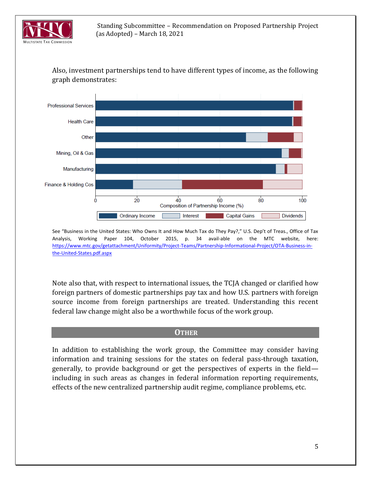

Also, investment partnerships tend to have different types of income, as the following graph demonstrates:



See "Business in the United States: Who Owns It and How Much Tax do They Pay?," U.S. Dep't of Treas., Office of Tax Analysis, Working Paper 104, October 2015, p. 34 avail-able on the MTC website, here: [https://www.mtc.gov/getattachment/Uniformity/Project-Teams/Partnership-Informational-Project/OTA-Business-in](https://www.mtc.gov/getattachment/Uniformity/Project-Teams/Partnership-Informational-Project/OTA-Business-in-the-United-States.pdf.aspx)[the-United-States.pdf.aspx](https://www.mtc.gov/getattachment/Uniformity/Project-Teams/Partnership-Informational-Project/OTA-Business-in-the-United-States.pdf.aspx)

Note also that, with respect to international issues, the TCJA changed or clarified how foreign partners of domestic partnerships pay tax and how U.S. partners with foreign source income from foreign partnerships are treated. Understanding this recent federal law change might also be a worthwhile focus of the work group.

#### **OTHER**

In addition to establishing the work group, the Committee may consider having information and training sessions for the states on federal pass-through taxation, generally, to provide background or get the perspectives of experts in the field including in such areas as changes in federal information reporting requirements, effects of the new centralized partnership audit regime, compliance problems, etc.